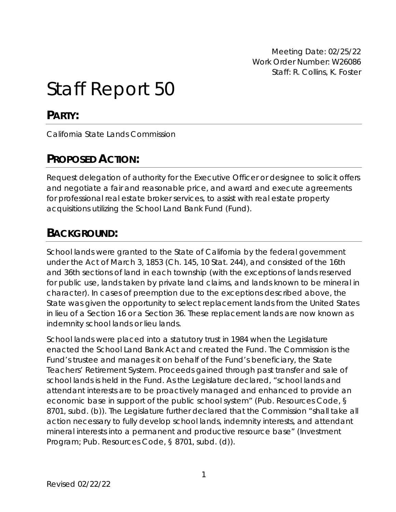Meeting Date: 02/25/22 Work Order Number: W26086 Staff: R. Collins, K. Foster

# Staff Report 50

# **PARTY:**

California State Lands Commission

# **PROPOSED ACTION:**

Request delegation of authority for the Executive Officer or designee to solicit offers and negotiate a fair and reasonable price, and award and execute agreements for professional real estate broker services, to assist with real estate property acquisitions utilizing the School Land Bank Fund (Fund).

# **BACKGROUND:**

School lands were granted to the State of California by the federal government under the Act of March 3, 1853 (Ch. 145, 10 Stat. 244), and consisted of the 16th and 36th sections of land in each township (with the exceptions of lands reserved for public use, lands taken by private land claims, and lands known to be mineral in character). In cases of preemption due to the exceptions described above, the State was given the opportunity to select replacement lands from the United States in lieu of a Section 16 or a Section 36. These replacement lands are now known as indemnity school lands or lieu lands.

School lands were placed into a statutory trust in 1984 when the Legislature enacted the School Land Bank Act and created the Fund. The Commission is the Fund's trustee and manages it on behalf of the Fund's beneficiary, the State Teachers' Retirement System. Proceeds gained through past transfer and sale of school lands is held in the Fund. As the Legislature declared, "school lands and attendant interests are to be proactively managed and enhanced to provide an economic base in support of the public school system" (Pub. Resources Code, § 8701, subd. (b)). The Legislature further declared that the Commission "shall take all action necessary to fully develop school lands, indemnity interests, and attendant mineral interests into a permanent and productive resource base" (Investment Program; Pub. Resources Code, § 8701, subd. (d)).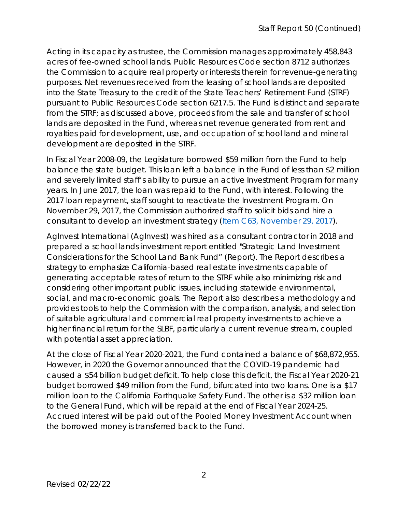Acting in its capacity as trustee, the Commission manages approximately 458,843 acres of fee-owned school lands. Public Resources Code section 8712 authorizes the Commission to acquire real property or interests therein for revenue-generating purposes. Net revenues received from the leasing of school lands are deposited into the State Treasury to the credit of the State Teachers' Retirement Fund (STRF) pursuant to Public Resources Code section 6217.5. The Fund is distinct and separate from the STRF; as discussed above, proceeds from the sale and transfer of school lands are deposited in the Fund, whereas net revenue generated from rent and royalties paid for development, use, and occupation of school land and mineral development are deposited in the STRF.

In Fiscal Year 2008-09, the Legislature borrowed \$59 million from the Fund to help balance the state budget. This loan left a balance in the Fund of less than \$2 million and severely limited staff's ability to pursue an active Investment Program for many years. In June 2017, the loan was repaid to the Fund, with interest. Following the 2017 loan repayment, staff sought to reactivate the Investment Program. On November 29, 2017, the Commission authorized staff to solicit bids and hire a consultant to develop an investment strategy ([Item C63, November 29, 2017](https://www.slc.ca.gov/Meeting_Summaries/2017_Documents/11-29-17/Items_and_Exhibits/C63.pdf)).

AgInvest International (AgInvest) was hired as a consultant contractor in 2018 and prepared a school lands investment report entitled "Strategic Land Investment Considerations for the School Land Bank Fund" (Report). The Report describes a strategy to emphasize California-based real estate investments capable of generating acceptable rates of return to the STRF while also minimizing risk and considering other important public issues, including statewide environmental, social, and macro-economic goals. The Report also describes a methodology and provides tools to help the Commission with the comparison, analysis, and selection of suitable agricultural and commercial real property investments to achieve a higher financial return for the SLBF, particularly a current revenue stream, coupled with potential asset appreciation.

At the close of Fiscal Year 2020-2021, the Fund contained a balance of \$68,872,955. However, in 2020 the Governor announced that the COVID-19 pandemic had caused a \$54 billion budget deficit. To help close this deficit, the Fiscal Year 2020-21 budget borrowed \$49 million from the Fund, bifurcated into two loans. One is a \$17 million loan to the California Earthquake Safety Fund. The other is a \$32 million loan to the General Fund, which will be repaid at the end of Fiscal Year 2024-25. Accrued interest will be paid out of the Pooled Money Investment Account when the borrowed money is transferred back to the Fund.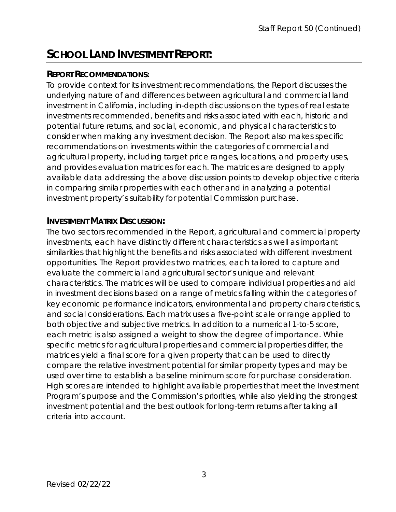# **SCHOOL LAND INVESTMENT REPORT:**

### **REPORT RECOMMENDATIONS:**

To provide context for its investment recommendations, the Report discusses the underlying nature of and differences between agricultural and commercial land investment in California, including in-depth discussions on the types of real estate investments recommended, benefits and risks associated with each, historic and potential future returns, and social, economic, and physical characteristics to consider when making any investment decision. The Report also makes specific recommendations on investments within the categories of commercial and agricultural property, including target price ranges, locations, and property uses, and provides evaluation matrices for each. The matrices are designed to apply available data addressing the above discussion points to develop objective criteria in comparing similar properties with each other and in analyzing a potential investment property's suitability for potential Commission purchase.

### **INVESTMENT MATRIX DISCUSSION:**

The two sectors recommended in the Report, agricultural and commercial property investments, each have distinctly different characteristics as well as important similarities that highlight the benefits and risks associated with different investment opportunities. The Report provides two matrices, each tailored to capture and evaluate the commercial and agricultural sector's unique and relevant characteristics. The matrices will be used to compare individual properties and aid in investment decisions based on a range of metrics falling within the categories of key economic performance indicators, environmental and property characteristics, and social considerations. Each matrix uses a five-point scale or range applied to both objective and subjective metrics. In addition to a numerical 1-to-5 score, each metric is also assigned a weight to show the degree of importance. While specific metrics for agricultural properties and commercial properties differ, the matrices yield a final score for a given property that can be used to directly compare the relative investment potential for similar property types and may be used over time to establish a baseline minimum score for purchase consideration. High scores are intended to highlight available properties that meet the Investment Program's purpose and the Commission's priorities, while also yielding the strongest investment potential and the best outlook for long-term returns after taking all criteria into account.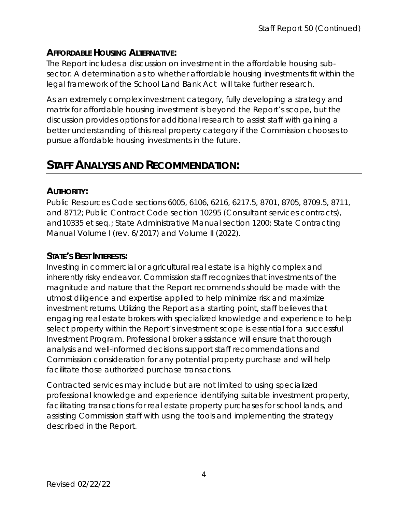### **AFFORDABLE HOUSING ALTERNATIVE:**

The Report includes a discussion on investment in the affordable housing subsector. A determination as to whether affordable housing investments fit within the legal framework of the School Land Bank Act will take further research.

As an extremely complex investment category, fully developing a strategy and matrix for affordable housing investment is beyond the Report's scope, but the discussion provides options for additional research to assist staff with gaining a better understanding of this real property category if the Commission chooses to pursue affordable housing investments in the future.

# **STAFF ANALYSIS AND RECOMMENDATION:**

### **AUTHORITY:**

Public Resources Code sections 6005, 6106, 6216, 6217.5, 8701, 8705, 8709.5, 8711, and 8712; Public Contract Code section 10295 (Consultant services contracts), and10335 et seq.; State Administrative Manual section 1200; State Contracting Manual Volume I (rev. 6/2017) and Volume II (2022).

### **STATE'S BEST INTERESTS:**

Investing in commercial or agricultural real estate is a highly complex and inherently risky endeavor. Commission staff recognizes that investments of the magnitude and nature that the Report recommends should be made with the utmost diligence and expertise applied to help minimize risk and maximize investment returns. Utilizing the Report as a starting point, staff believes that engaging real estate brokers with specialized knowledge and experience to help select property within the Report's investment scope is essential for a successful Investment Program. Professional broker assistance will ensure that thorough analysis and well-informed decisions support staff recommendations and Commission consideration for any potential property purchase and will help facilitate those authorized purchase transactions.

Contracted services may include but are not limited to using specialized professional knowledge and experience identifying suitable investment property, facilitating transactions for real estate property purchases for school lands, and assisting Commission staff with using the tools and implementing the strategy described in the Report.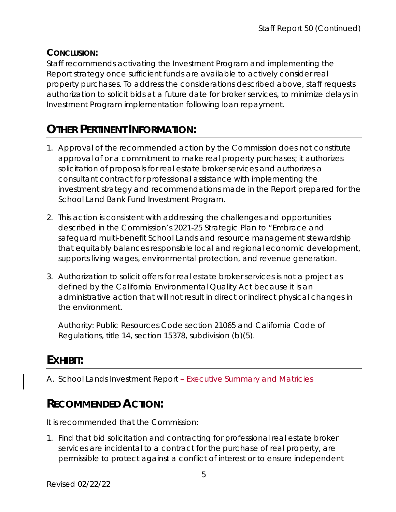### **CONCLUSION:**

Staff recommends activating the Investment Program and implementing the Report strategy once sufficient funds are available to actively consider real property purchases. To address the considerations described above, staff requests authorization to solicit bids at a future date for broker services, to minimize delays in Investment Program implementation following loan repayment.

# **OTHER PERTINENT INFORMATION:**

- 1. Approval of the recommended action by the Commission does not constitute approval of or a commitment to make real property purchases; it authorizes solicitation of proposals for real estate broker services and authorizes a consultant contract for professional assistance with implementing the investment strategy and recommendations made in the Report prepared for the School Land Bank Fund Investment Program.
- 2. This action is consistent with addressing the challenges and opportunities described in the Commission's 2021-25 Strategic Plan to "Embrace and safeguard multi-benefit School Lands and resource management stewardship that equitably balances responsible local and regional economic development, supports living wages, environmental protection, and revenue generation.
- 3. Authorization to solicit offers for real estate broker services is not a project as defined by the California Environmental Quality Act because it is an administrative action that will not result in direct or indirect physical changes in the environment.

Authority: Public Resources Code section 21065 and California Code of Regulations, title 14, section 15378, subdivision (b)(5).

# **EXHIBIT:**

A. School Lands Investment Report – Executive Summary and Matricies

# **RECOMMENDED ACTION:**

It is recommended that the Commission:

1. Find that bid solicitation and contracting for professional real estate broker services are incidental to a contract for the purchase of real property, are permissible to protect against a conflict of interest or to ensure independent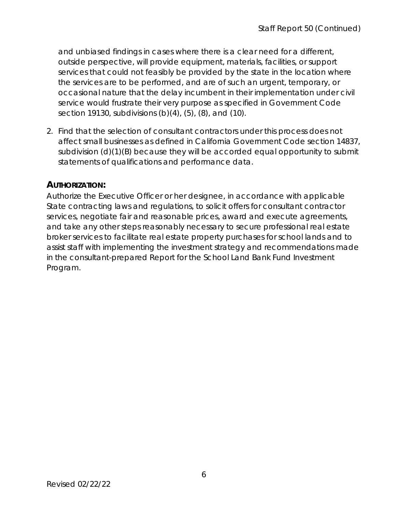and unbiased findings in cases where there is a clear need for a different, outside perspective, will provide equipment, materials, facilities, or support services that could not feasibly be provided by the state in the location where the services are to be performed, and are of such an urgent, temporary, or occasional nature that the delay incumbent in their implementation under civil service would frustrate their very purpose as specified in Government Code section 19130, subdivisions (b)(4), (5), (8), and (10).

2. Find that the selection of consultant contractors under this process does not affect small businesses as defined in California Government Code section 14837, subdivision (d)(1)(B) because they will be accorded equal opportunity to submit statements of qualifications and performance data.

### **AUTHORIZATION:**

Authorize the Executive Officer or her designee, in accordance with applicable State contracting laws and regulations, to solicit offers for consultant contractor services, negotiate fair and reasonable prices, award and execute agreements, and take any other steps reasonably necessary to secure professional real estate broker services to facilitate real estate property purchases for school lands and to assist staff with implementing the investment strategy and recommendations made in the consultant-prepared Report for the School Land Bank Fund Investment Program.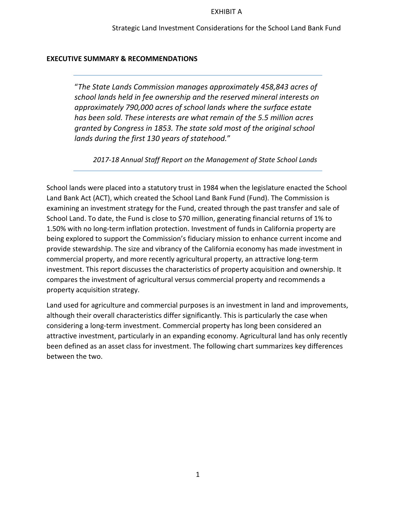#### EXHIBIT A

#### **EXECUTIVE SUMMARY & RECOMMENDATIONS**

"*The State Lands Commission manages approximately 458,843 acres of school lands held in fee ownership and the reserved mineral interests on approximately 790,000 acres of school lands where the surface estate has been sold. These interests are what remain of the 5.5 million acres granted by Congress in 1853. The state sold most of the original school lands during the first 130 years of statehood.*"

*2017-18 Annual Staff Report on the Management of State School Lands*

School lands were placed into a statutory trust in 1984 when the legislature enacted the School Land Bank Act (ACT), which created the School Land Bank Fund (Fund). The Commission is examining an investment strategy for the Fund, created through the past transfer and sale of School Land. To date, the Fund is close to \$70 million, generating financial returns of 1% to 1.50% with no long-term inflation protection. Investment of funds in California property are being explored to support the Commission's fiduciary mission to enhance current income and provide stewardship. The size and vibrancy of the California economy has made investment in commercial property, and more recently agricultural property, an attractive long-term investment. This report discusses the characteristics of property acquisition and ownership. It compares the investment of agricultural versus commercial property and recommends a property acquisition strategy.

Land used for agriculture and commercial purposes is an investment in land and improvements, although their overall characteristics differ significantly. This is particularly the case when considering a long-term investment. Commercial property has long been considered an attractive investment, particularly in an expanding economy. Agricultural land has only recently been defined as an asset class for investment. The following chart summarizes key differences between the two.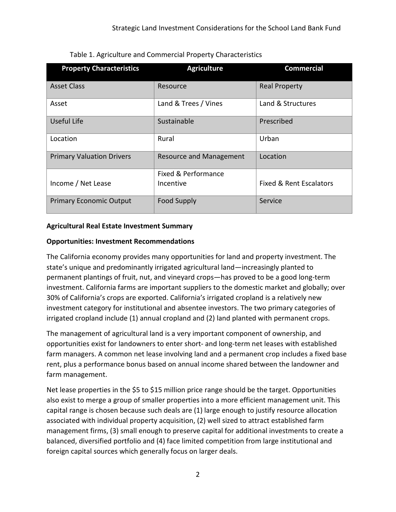| <b>Property Characteristics</b>  | <b>Agriculture</b>             | <b>Commercial</b>                  |
|----------------------------------|--------------------------------|------------------------------------|
| <b>Asset Class</b>               | Resource                       | <b>Real Property</b>               |
| Asset                            | Land & Trees / Vines           | Land & Structures                  |
| Useful Life                      | Sustainable                    | Prescribed                         |
| Location                         | Rural                          | Urban                              |
| <b>Primary Valuation Drivers</b> | <b>Resource and Management</b> | Location                           |
|                                  | Fixed & Performance            |                                    |
| Income / Net Lease               | Incentive                      | <b>Fixed &amp; Rent Escalators</b> |
| <b>Primary Economic Output</b>   | <b>Food Supply</b>             | Service                            |

Table 1. Agriculture and Commercial Property Characteristics

#### **Agricultural Real Estate Investment Summary**

#### **Opportunities: Investment Recommendations**

The California economy provides many opportunities for land and property investment. The state's unique and predominantly irrigated agricultural land—increasingly planted to permanent plantings of fruit, nut, and vineyard crops—has proved to be a good long-term investment. California farms are important suppliers to the domestic market and globally; over 30% of California's crops are exported. California's irrigated cropland is a relatively new investment category for institutional and absentee investors. The two primary categories of irrigated cropland include (1) annual cropland and (2) land planted with permanent crops.

The management of agricultural land is a very important component of ownership, and opportunities exist for landowners to enter short- and long-term net leases with established farm managers. A common net lease involving land and a permanent crop includes a fixed base rent, plus a performance bonus based on annual income shared between the landowner and farm management.

Net lease properties in the \$5 to \$15 million price range should be the target. Opportunities also exist to merge a group of smaller properties into a more efficient management unit. This capital range is chosen because such deals are (1) large enough to justify resource allocation associated with individual property acquisition, (2) well sized to attract established farm management firms, (3) small enough to preserve capital for additional investments to create a balanced, diversified portfolio and (4) face limited competition from large institutional and foreign capital sources which generally focus on larger deals.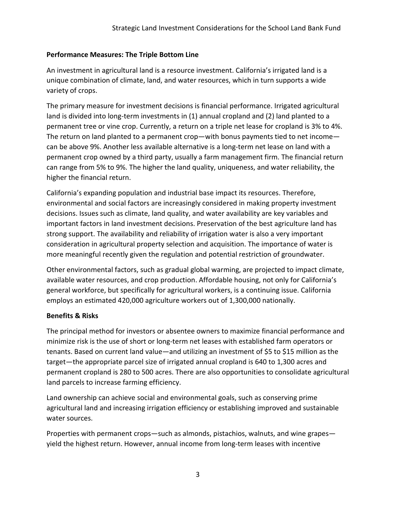#### **Performance Measures: The Triple Bottom Line**

An investment in agricultural land is a resource investment. California's irrigated land is a unique combination of climate, land, and water resources, which in turn supports a wide variety of crops.

The primary measure for investment decisions is financial performance. Irrigated agricultural land is divided into long-term investments in (1) annual cropland and (2) land planted to a permanent tree or vine crop. Currently, a return on a triple net lease for cropland is 3% to 4%. The return on land planted to a permanent crop—with bonus payments tied to net income can be above 9%. Another less available alternative is a long-term net lease on land with a permanent crop owned by a third party, usually a farm management firm. The financial return can range from 5% to 9%. The higher the land quality, uniqueness, and water reliability, the higher the financial return.

California's expanding population and industrial base impact its resources. Therefore, environmental and social factors are increasingly considered in making property investment decisions. Issues such as climate, land quality, and water availability are key variables and important factors in land investment decisions. Preservation of the best agriculture land has strong support. The availability and reliability of irrigation water is also a very important consideration in agricultural property selection and acquisition. The importance of water is more meaningful recently given the regulation and potential restriction of groundwater.

Other environmental factors, such as gradual global warming, are projected to impact climate, available water resources, and crop production. Affordable housing, not only for California's general workforce, but specifically for agricultural workers, is a continuing issue. California employs an estimated 420,000 agriculture workers out of 1,300,000 nationally.

#### **Benefits & Risks**

The principal method for investors or absentee owners to maximize financial performance and minimize risk is the use of short or long-term net leases with established farm operators or tenants. Based on current land value—and utilizing an investment of \$5 to \$15 million as the target—the appropriate parcel size of irrigated annual cropland is 640 to 1,300 acres and permanent cropland is 280 to 500 acres. There are also opportunities to consolidate agricultural land parcels to increase farming efficiency.

Land ownership can achieve social and environmental goals, such as conserving prime agricultural land and increasing irrigation efficiency or establishing improved and sustainable water sources.

Properties with permanent crops—such as almonds, pistachios, walnuts, and wine grapes yield the highest return. However, annual income from long-term leases with incentive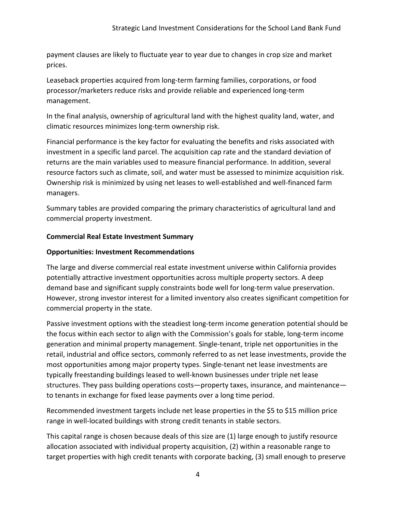payment clauses are likely to fluctuate year to year due to changes in crop size and market prices.

Leaseback properties acquired from long-term farming families, corporations, or food processor/marketers reduce risks and provide reliable and experienced long-term management.

In the final analysis, ownership of agricultural land with the highest quality land, water, and climatic resources minimizes long-term ownership risk.

Financial performance is the key factor for evaluating the benefits and risks associated with investment in a specific land parcel. The acquisition cap rate and the standard deviation of returns are the main variables used to measure financial performance. In addition, several resource factors such as climate, soil, and water must be assessed to minimize acquisition risk. Ownership risk is minimized by using net leases to well-established and well-financed farm managers.

Summary tables are provided comparing the primary characteristics of agricultural land and commercial property investment.

#### **Commercial Real Estate Investment Summary**

#### **Opportunities: Investment Recommendations**

The large and diverse commercial real estate investment universe within California provides potentially attractive investment opportunities across multiple property sectors. A deep demand base and significant supply constraints bode well for long-term value preservation. However, strong investor interest for a limited inventory also creates significant competition for commercial property in the state.

Passive investment options with the steadiest long-term income generation potential should be the focus within each sector to align with the Commission's goals for stable, long-term income generation and minimal property management. Single-tenant, triple net opportunities in the retail, industrial and office sectors, commonly referred to as net lease investments, provide the most opportunities among major property types. Single-tenant net lease investments are typically freestanding buildings leased to well-known businesses under triple net lease structures. They pass building operations costs—property taxes, insurance, and maintenance to tenants in exchange for fixed lease payments over a long time period.

Recommended investment targets include net lease properties in the \$5 to \$15 million price range in well-located buildings with strong credit tenants in stable sectors.

This capital range is chosen because deals of this size are (1) large enough to justify resource allocation associated with individual property acquisition, (2) within a reasonable range to target properties with high credit tenants with corporate backing, (3) small enough to preserve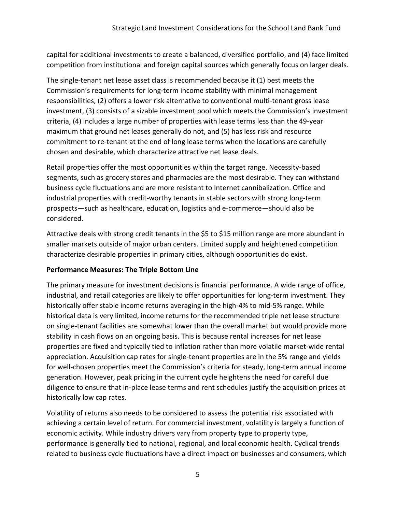capital for additional investments to create a balanced, diversified portfolio, and (4) face limited competition from institutional and foreign capital sources which generally focus on larger deals.

The single-tenant net lease asset class is recommended because it (1) best meets the Commission's requirements for long-term income stability with minimal management responsibilities, (2) offers a lower risk alternative to conventional multi-tenant gross lease investment, (3) consists of a sizable investment pool which meets the Commission's investment criteria, (4) includes a large number of properties with lease terms less than the 49-year maximum that ground net leases generally do not, and (5) has less risk and resource commitment to re-tenant at the end of long lease terms when the locations are carefully chosen and desirable, which characterize attractive net lease deals.

Retail properties offer the most opportunities within the target range. Necessity-based segments, such as grocery stores and pharmacies are the most desirable. They can withstand business cycle fluctuations and are more resistant to Internet cannibalization. Office and industrial properties with credit-worthy tenants in stable sectors with strong long-term prospects—such as healthcare, education, logistics and e-commerce—should also be considered.

Attractive deals with strong credit tenants in the \$5 to \$15 million range are more abundant in smaller markets outside of major urban centers. Limited supply and heightened competition characterize desirable properties in primary cities, although opportunities do exist.

#### **Performance Measures: The Triple Bottom Line**

The primary measure for investment decisions is financial performance. A wide range of office, industrial, and retail categories are likely to offer opportunities for long-term investment. They historically offer stable income returns averaging in the high-4% to mid-5% range. While historical data is very limited, income returns for the recommended triple net lease structure on single-tenant facilities are somewhat lower than the overall market but would provide more stability in cash flows on an ongoing basis. This is because rental increases for net lease properties are fixed and typically tied to inflation rather than more volatile market-wide rental appreciation. Acquisition cap rates for single-tenant properties are in the 5% range and yields for well-chosen properties meet the Commission's criteria for steady, long-term annual income generation. However, peak pricing in the current cycle heightens the need for careful due diligence to ensure that in-place lease terms and rent schedules justify the acquisition prices at historically low cap rates.

Volatility of returns also needs to be considered to assess the potential risk associated with achieving a certain level of return. For commercial investment, volatility is largely a function of economic activity. While industry drivers vary from property type to property type, performance is generally tied to national, regional, and local economic health. Cyclical trends related to business cycle fluctuations have a direct impact on businesses and consumers, which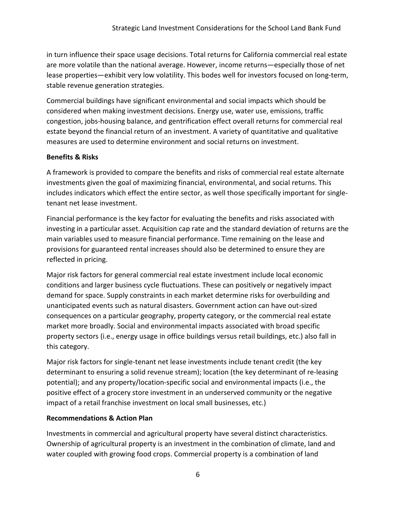in turn influence their space usage decisions. Total returns for California commercial real estate are more volatile than the national average. However, income returns—especially those of net lease properties—exhibit very low volatility. This bodes well for investors focused on long-term, stable revenue generation strategies.

Commercial buildings have significant environmental and social impacts which should be considered when making investment decisions. Energy use, water use, emissions, traffic congestion, jobs-housing balance, and gentrification effect overall returns for commercial real estate beyond the financial return of an investment. A variety of quantitative and qualitative measures are used to determine environment and social returns on investment.

#### **Benefits & Risks**

A framework is provided to compare the benefits and risks of commercial real estate alternate investments given the goal of maximizing financial, environmental, and social returns. This includes indicators which effect the entire sector, as well those specifically important for singletenant net lease investment.

Financial performance is the key factor for evaluating the benefits and risks associated with investing in a particular asset. Acquisition cap rate and the standard deviation of returns are the main variables used to measure financial performance. Time remaining on the lease and provisions for guaranteed rental increases should also be determined to ensure they are reflected in pricing.

Major risk factors for general commercial real estate investment include local economic conditions and larger business cycle fluctuations. These can positively or negatively impact demand for space. Supply constraints in each market determine risks for overbuilding and unanticipated events such as natural disasters. Government action can have out-sized consequences on a particular geography, property category, or the commercial real estate market more broadly. Social and environmental impacts associated with broad specific property sectors (i.e., energy usage in office buildings versus retail buildings, etc.) also fall in this category.

Major risk factors for single-tenant net lease investments include tenant credit (the key determinant to ensuring a solid revenue stream); location (the key determinant of re-leasing potential); and any property/location-specific social and environmental impacts (i.e., the positive effect of a grocery store investment in an underserved community or the negative impact of a retail franchise investment on local small businesses, etc.)

#### **Recommendations & Action Plan**

Investments in commercial and agricultural property have several distinct characteristics. Ownership of agricultural property is an investment in the combination of climate, land and water coupled with growing food crops. Commercial property is a combination of land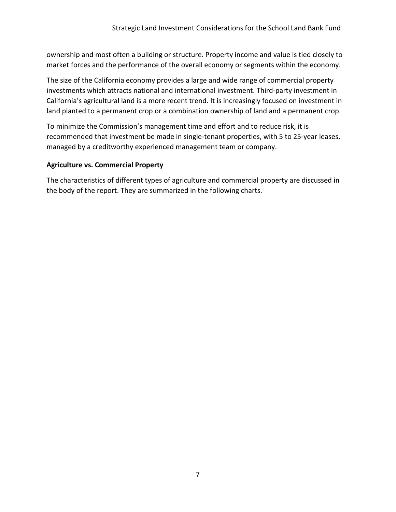ownership and most often a building or structure. Property income and value is tied closely to market forces and the performance of the overall economy or segments within the economy.

The size of the California economy provides a large and wide range of commercial property investments which attracts national and international investment. Third-party investment in California's agricultural land is a more recent trend. It is increasingly focused on investment in land planted to a permanent crop or a combination ownership of land and a permanent crop.

To minimize the Commission's management time and effort and to reduce risk, it is recommended that investment be made in single-tenant properties, with 5 to 25-year leases, managed by a creditworthy experienced management team or company.

#### **Agriculture vs. Commercial Property**

The characteristics of different types of agriculture and commercial property are discussed in the body of the report. They are summarized in the following charts.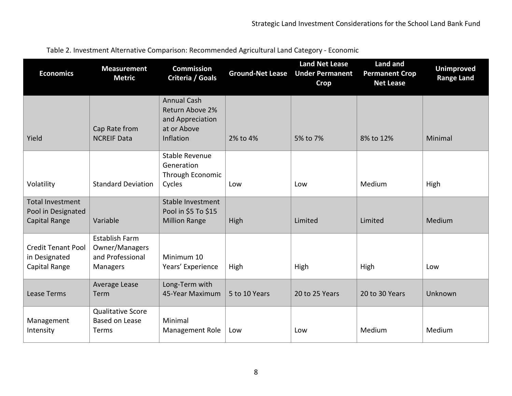| <b>Economics</b>                                               | <b>Measurement</b><br><b>Metric</b>                              | <b>Commission</b><br>Criteria / Goals                                                 | <b>Ground-Net Lease</b> | <b>Land Net Lease</b><br><b>Under Permanent</b><br><b>Crop</b> | <b>Land and</b><br><b>Permanent Crop</b><br><b>Net Lease</b> | <b>Unimproved</b><br><b>Range Land</b> |
|----------------------------------------------------------------|------------------------------------------------------------------|---------------------------------------------------------------------------------------|-------------------------|----------------------------------------------------------------|--------------------------------------------------------------|----------------------------------------|
| Yield                                                          | Cap Rate from<br><b>NCREIF Data</b>                              | <b>Annual Cash</b><br>Return Above 2%<br>and Appreciation<br>at or Above<br>Inflation | 2% to 4%                | 5% to 7%                                                       | 8% to 12%                                                    | Minimal                                |
| Volatility                                                     | <b>Standard Deviation</b>                                        | <b>Stable Revenue</b><br>Generation<br>Through Economic<br>Cycles                     | Low                     | Low                                                            | Medium                                                       | High                                   |
| <b>Total Investment</b><br>Pool in Designated<br>Capital Range | Variable                                                         | Stable Investment<br>Pool in \$5 To \$15<br><b>Million Range</b>                      | High                    | Limited                                                        | Limited                                                      | Medium                                 |
| <b>Credit Tenant Pool</b><br>in Designated<br>Capital Range    | Establish Farm<br>Owner/Managers<br>and Professional<br>Managers | Minimum 10<br>Years' Experience                                                       | High                    | High                                                           | High                                                         | Low                                    |
| Lease Terms                                                    | Average Lease<br>Term                                            | Long-Term with<br>45-Year Maximum                                                     | 5 to 10 Years           | 20 to 25 Years                                                 | 20 to 30 Years                                               | Unknown                                |
| Management<br>Intensity                                        | <b>Qualitative Score</b><br><b>Based on Lease</b><br>Terms       | Minimal<br>Management Role                                                            | Low                     | Low                                                            | Medium                                                       | Medium                                 |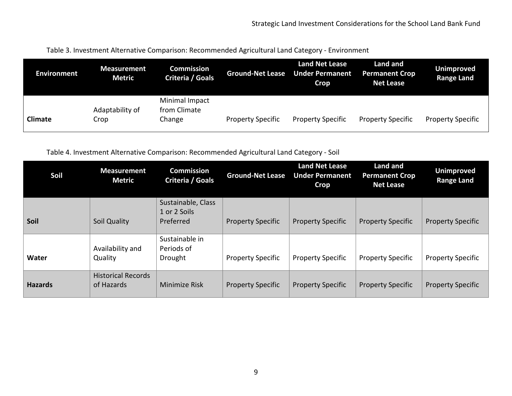Table 3. Investment Alternative Comparison: Recommended Agricultural Land Category - Environment

| <b>Environment</b> | <b>Measurement</b><br><b>Metric</b> | <b>Commission</b><br>Criteria / Goals    | <b>Ground-Net Lease</b>  | <b>Land Net Lease</b><br><b>Under Permanent</b><br><b>Crop</b> | Land and<br><b>Permanent Crop</b><br><b>Net Lease</b> | Unimproved<br><b>Range Land</b> |
|--------------------|-------------------------------------|------------------------------------------|--------------------------|----------------------------------------------------------------|-------------------------------------------------------|---------------------------------|
| Climate            | Adaptability of<br>Crop             | Minimal Impact<br>from Climate<br>Change | <b>Property Specific</b> | <b>Property Specific</b>                                       | <b>Property Specific</b>                              | <b>Property Specific</b>        |

Table 4. Investment Alternative Comparison: Recommended Agricultural Land Category - Soil

| Soil           | <b>Measurement</b><br><b>Metric</b>     | <b>Commission</b><br>Criteria / Goals | <b>Ground-Net Lease</b>  | <b>Land Net Lease</b><br><b>Under Permanent</b><br><b>Crop</b> | Land and<br><b>Permanent Crop</b><br><b>Net Lease</b> | <b>Unimproved</b><br><b>Range Land</b> |
|----------------|-----------------------------------------|---------------------------------------|--------------------------|----------------------------------------------------------------|-------------------------------------------------------|----------------------------------------|
|                |                                         | Sustainable, Class<br>1 or 2 Soils    |                          |                                                                |                                                       |                                        |
| Soil           | Soil Quality                            | Preferred                             | <b>Property Specific</b> | <b>Property Specific</b>                                       | <b>Property Specific</b>                              | <b>Property Specific</b>               |
|                |                                         | Sustainable in                        |                          |                                                                |                                                       |                                        |
| Water          | Availability and<br>Quality             | Periods of<br>Drought                 | <b>Property Specific</b> | <b>Property Specific</b>                                       | <b>Property Specific</b>                              | <b>Property Specific</b>               |
| <b>Hazards</b> | <b>Historical Records</b><br>of Hazards | <b>Minimize Risk</b>                  | <b>Property Specific</b> | <b>Property Specific</b>                                       | <b>Property Specific</b>                              | <b>Property Specific</b>               |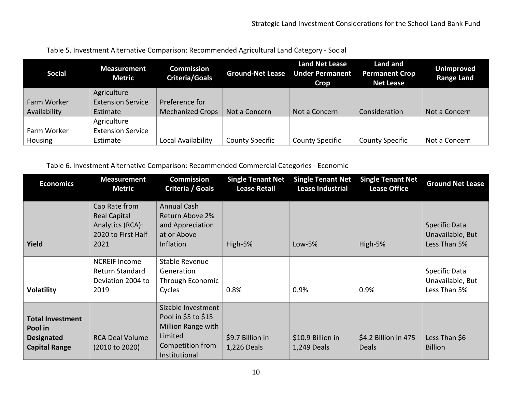| <b>Social</b> | <b>Measurement</b><br><b>Metric</b> | <b>Commission</b><br><b>Criteria/Goals</b> | <b>Ground-Net Lease</b> | Land Net Lease<br><b>Under Permanent</b><br><b>Crop</b> | Land and<br><b>Permanent Crop</b><br><b>Net Lease</b> | <b>Unimproved</b><br><b>Range Land</b> |
|---------------|-------------------------------------|--------------------------------------------|-------------------------|---------------------------------------------------------|-------------------------------------------------------|----------------------------------------|
|               | Agriculture                         |                                            |                         |                                                         |                                                       |                                        |
| Farm Worker   | <b>Extension Service</b>            | Preference for                             |                         |                                                         |                                                       |                                        |
| Availability  | Estimate                            | <b>Mechanized Crops</b>                    | Not a Concern           | Not a Concern                                           | Consideration                                         | Not a Concern                          |
|               | Agriculture                         |                                            |                         |                                                         |                                                       |                                        |
| Farm Worker   | <b>Extension Service</b>            |                                            |                         |                                                         |                                                       |                                        |
| Housing       | Estimate                            | Local Availability                         | <b>County Specific</b>  | <b>County Specific</b>                                  | <b>County Specific</b>                                | Not a Concern                          |

Table 5. Investment Alternative Comparison: Recommended Agricultural Land Category - Social

Table 6. Investment Alternative Comparison: Recommended Commercial Categories - Economic

| <b>Economics</b>                                                                | <b>Measurement</b><br><b>Metric</b>                                                    | <b>Commission</b><br>Criteria / Goals                                                                           | <b>Single Tenant Net</b><br><b>Lease Retail</b> | <b>Single Tenant Net</b><br><b>Lease Industrial</b> | <b>Single Tenant Net</b><br><b>Lease Office</b> | <b>Ground Net Lease</b>                           |
|---------------------------------------------------------------------------------|----------------------------------------------------------------------------------------|-----------------------------------------------------------------------------------------------------------------|-------------------------------------------------|-----------------------------------------------------|-------------------------------------------------|---------------------------------------------------|
| Yield                                                                           | Cap Rate from<br><b>Real Capital</b><br>Analytics (RCA):<br>2020 to First Half<br>2021 | Annual Cash<br>Return Above 2%<br>and Appreciation<br>at or Above<br>Inflation                                  | High-5%                                         | $Low-5%$                                            | High-5%                                         | Specific Data<br>Unavailable, But<br>Less Than 5% |
| <b>Volatility</b>                                                               | <b>NCREIF Income</b><br>Return Standard<br>Deviation 2004 to<br>2019                   | Stable Revenue<br>Generation<br>Through Economic<br>Cycles                                                      | 0.8%                                            | 0.9%                                                | 0.9%                                            | Specific Data<br>Unavailable, But<br>Less Than 5% |
| <b>Total Investment</b><br>Pool in<br><b>Designated</b><br><b>Capital Range</b> | <b>RCA Deal Volume</b><br>(2010 to 2020)                                               | Sizable Investment<br>Pool in \$5 to \$15<br>Million Range with<br>Limited<br>Competition from<br>Institutional | \$9.7 Billion in<br>1,226 Deals                 | \$10.9 Billion in<br>1,249 Deals                    | \$4.2 Billion in 475<br><b>Deals</b>            | Less Than \$6<br><b>Billion</b>                   |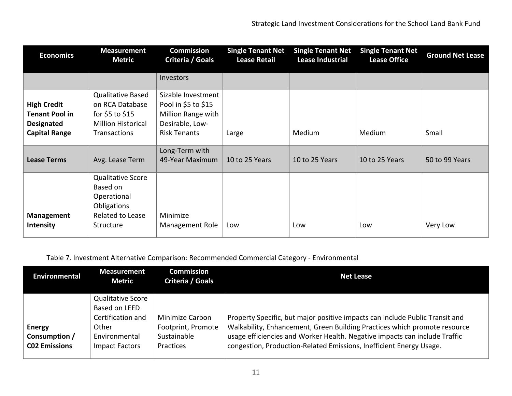| <b>Economics</b>                                                                         | <b>Measurement</b><br><b>Metric</b>                                                                         | <b>Commission</b><br>Criteria / Goals                                                                     | <b>Single Tenant Net</b><br><b>Lease Retail</b> | <b>Single Tenant Net</b><br><b>Lease Industrial</b> | <b>Single Tenant Net</b><br><b>Lease Office</b> | <b>Ground Net Lease</b> |
|------------------------------------------------------------------------------------------|-------------------------------------------------------------------------------------------------------------|-----------------------------------------------------------------------------------------------------------|-------------------------------------------------|-----------------------------------------------------|-------------------------------------------------|-------------------------|
|                                                                                          |                                                                                                             | Investors                                                                                                 |                                                 |                                                     |                                                 |                         |
| <b>High Credit</b><br><b>Tenant Pool in</b><br><b>Designated</b><br><b>Capital Range</b> | <b>Qualitative Based</b><br>on RCA Database<br>for \$5 to \$15<br><b>Million Historical</b><br>Transactions | Sizable Investment<br>Pool in \$5 to \$15<br>Million Range with<br>Desirable, Low-<br><b>Risk Tenants</b> | Large                                           | Medium                                              | Medium                                          | Small                   |
| <b>Lease Terms</b>                                                                       | Avg. Lease Term                                                                                             | Long-Term with<br>49-Year Maximum                                                                         | 10 to 25 Years                                  | 10 to 25 Years                                      | 10 to 25 Years                                  | 50 to 99 Years          |
| Management<br><b>Intensity</b>                                                           | <b>Qualitative Score</b><br>Based on<br>Operational<br>Obligations<br>Related to Lease<br>Structure         | Minimize<br>Management Role                                                                               | Low                                             | Low                                                 | Low                                             | Very Low                |

## Table 7. Investment Alternative Comparison: Recommended Commercial Category - Environmental

| <b>Environmental</b>                            | <b>Measurement</b><br><b>Metric</b>                                                                        | <b>Commission</b><br>Criteria / Goals                                    | Net Lease                                                                                                                                                                                                                                                                                                      |
|-------------------------------------------------|------------------------------------------------------------------------------------------------------------|--------------------------------------------------------------------------|----------------------------------------------------------------------------------------------------------------------------------------------------------------------------------------------------------------------------------------------------------------------------------------------------------------|
| Energy<br>Consumption /<br><b>C02 Emissions</b> | <b>Qualitative Score</b><br>Based on LEED<br>Certification and<br>Other<br>Environmental<br>Impact Factors | <b>Minimize Carbon</b><br>Footprint, Promote<br>Sustainable<br>Practices | Property Specific, but major positive impacts can include Public Transit and<br>Walkability, Enhancement, Green Building Practices which promote resource<br>usage efficiencies and Worker Health. Negative impacts can include Traffic<br>congestion, Production-Related Emissions, Inefficient Energy Usage. |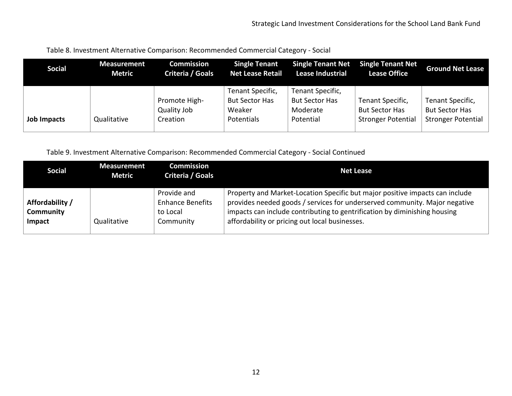| <b>Social</b> | <b>Measurement</b><br><b>Metric</b> | <b>Commission</b><br>Criteria / Goals    | <b>Single Tenant</b><br><b>Net Lease Retail</b>                   | <b>Single Tenant Net</b><br><b>Lease Industrial</b>                | <b>Single Tenant Net</b><br><b>Lease Office</b>                        | <b>Ground Net Lease</b>                                                |
|---------------|-------------------------------------|------------------------------------------|-------------------------------------------------------------------|--------------------------------------------------------------------|------------------------------------------------------------------------|------------------------------------------------------------------------|
| Job Impacts   | Qualitative                         | Promote High-<br>Quality Job<br>Creation | Tenant Specific,<br><b>But Sector Has</b><br>Weaker<br>Potentials | Tenant Specific,<br><b>But Sector Has</b><br>Moderate<br>Potential | Tenant Specific,<br><b>But Sector Has</b><br><b>Stronger Potential</b> | Tenant Specific,<br><b>But Sector Has</b><br><b>Stronger Potential</b> |

| Table 8. Investment Alternative Comparison: Recommended Commercial Category - Social |  |  |  |
|--------------------------------------------------------------------------------------|--|--|--|
|--------------------------------------------------------------------------------------|--|--|--|

Table 9. Investment Alternative Comparison: Recommended Commercial Category - Social Continued

| <b>Social</b>                          | <b>Measurement</b><br><b>Metric</b> | <b>Commission</b><br>Criteria / Goals                           | <b>Net Lease</b>                                                                                                                                                                                                                                                                          |
|----------------------------------------|-------------------------------------|-----------------------------------------------------------------|-------------------------------------------------------------------------------------------------------------------------------------------------------------------------------------------------------------------------------------------------------------------------------------------|
| Affordability /<br>Community<br>Impact | Qualitative                         | Provide and<br><b>Enhance Benefits</b><br>to Local<br>Community | Property and Market-Location Specific but major positive impacts can include<br>provides needed goods / services for underserved community. Major negative<br>impacts can include contributing to gentrification by diminishing housing<br>affordability or pricing out local businesses. |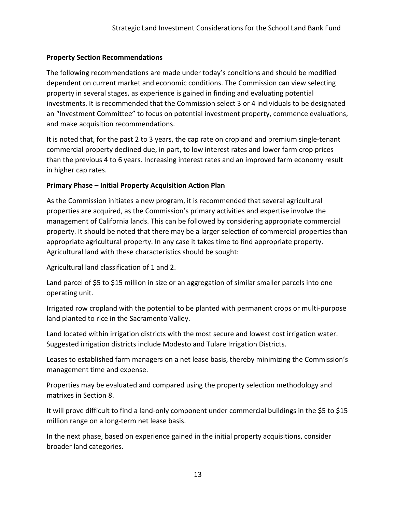#### **Property Section Recommendations**

The following recommendations are made under today's conditions and should be modified dependent on current market and economic conditions. The Commission can view selecting property in several stages, as experience is gained in finding and evaluating potential investments. It is recommended that the Commission select 3 or 4 individuals to be designated an "Investment Committee" to focus on potential investment property, commence evaluations, and make acquisition recommendations.

It is noted that, for the past 2 to 3 years, the cap rate on cropland and premium single-tenant commercial property declined due, in part, to low interest rates and lower farm crop prices than the previous 4 to 6 years. Increasing interest rates and an improved farm economy result in higher cap rates.

#### **Primary Phase – Initial Property Acquisition Action Plan**

As the Commission initiates a new program, it is recommended that several agricultural properties are acquired, as the Commission's primary activities and expertise involve the management of California lands. This can be followed by considering appropriate commercial property. It should be noted that there may be a larger selection of commercial properties than appropriate agricultural property. In any case it takes time to find appropriate property. Agricultural land with these characteristics should be sought:

Agricultural land classification of 1 and 2.

Land parcel of \$5 to \$15 million in size or an aggregation of similar smaller parcels into one operating unit.

Irrigated row cropland with the potential to be planted with permanent crops or multi-purpose land planted to rice in the Sacramento Valley.

Land located within irrigation districts with the most secure and lowest cost irrigation water. Suggested irrigation districts include Modesto and Tulare Irrigation Districts.

Leases to established farm managers on a net lease basis, thereby minimizing the Commission's management time and expense.

Properties may be evaluated and compared using the property selection methodology and matrixes in Section 8.

It will prove difficult to find a land-only component under commercial buildings in the \$5 to \$15 million range on a long-term net lease basis.

In the next phase, based on experience gained in the initial property acquisitions, consider broader land categories.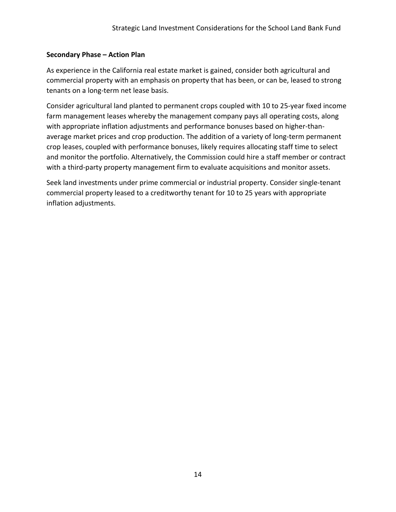#### **Secondary Phase – Action Plan**

As experience in the California real estate market is gained, consider both agricultural and commercial property with an emphasis on property that has been, or can be, leased to strong tenants on a long-term net lease basis.

Consider agricultural land planted to permanent crops coupled with 10 to 25-year fixed income farm management leases whereby the management company pays all operating costs, along with appropriate inflation adjustments and performance bonuses based on higher-thanaverage market prices and crop production. The addition of a variety of long-term permanent crop leases, coupled with performance bonuses, likely requires allocating staff time to select and monitor the portfolio. Alternatively, the Commission could hire a staff member or contract with a third-party property management firm to evaluate acquisitions and monitor assets.

Seek land investments under prime commercial or industrial property. Consider single-tenant commercial property leased to a creditworthy tenant for 10 to 25 years with appropriate inflation adjustments.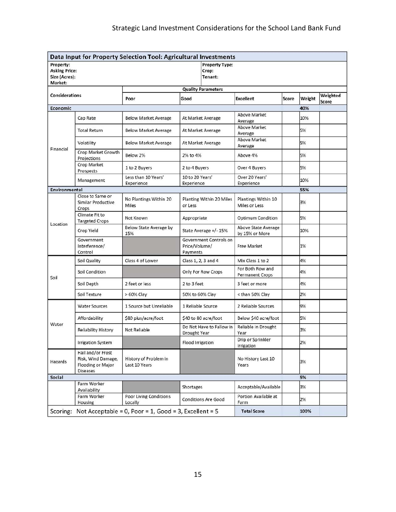### Strategic Land Investment Considerations for the School Land Bank Fund

| Data Input for Property Selection Tool: Agricultural Investments |                                                                                 |                                        |                               |                                           |                                       |       |        |                   |  |
|------------------------------------------------------------------|---------------------------------------------------------------------------------|----------------------------------------|-------------------------------|-------------------------------------------|---------------------------------------|-------|--------|-------------------|--|
| Property:<br><b>Asking Price:</b><br>Size (Acres):<br>Market:    |                                                                                 |                                        |                               | <b>Property Type:</b><br>Crop:<br>Tenant: |                                       |       |        |                   |  |
| <b>Quality Parameters</b>                                        |                                                                                 |                                        |                               |                                           |                                       |       |        |                   |  |
| <b>Considerations</b>                                            |                                                                                 | Poor                                   | Good                          |                                           | <b>Excellent</b>                      | Score | Weight | Weighted<br>Score |  |
| Economic                                                         |                                                                                 |                                        |                               |                                           |                                       |       | 40%    |                   |  |
| Financial                                                        | Cap Rate                                                                        | <b>Below Market Average</b>            |                               | At Market Average                         | <b>Above Market</b><br>Average        |       | 10%    |                   |  |
|                                                                  | <b>Total Return</b>                                                             | <b>Below Market Average</b>            | At Market Average             |                                           | <b>Above Market</b><br>Average        |       | 5%     |                   |  |
|                                                                  | Volatility                                                                      | <b>Below Market Average</b>            | At Market Average             |                                           | Above Market<br>Average               |       | 5%     |                   |  |
|                                                                  | Crop Market Growth<br>Projections                                               | Below 2%                               | 2% to 4%                      |                                           | Above 4%                              |       | 5%     |                   |  |
|                                                                  | Crop Market<br>Prospects                                                        | 1 to 2 Buyers                          | 2 to 4 Buyers                 |                                           | Over 4 Buyers                         |       | 5%     |                   |  |
|                                                                  | Management                                                                      | Less than 10 Years'<br>Experience      | 10 to 20 Years'<br>Experience |                                           | Over 20 Years'<br>Experience          |       | 10%    |                   |  |
| Environmental                                                    |                                                                                 |                                        |                               |                                           |                                       |       | 55%    |                   |  |
|                                                                  | Close to Same or<br>Similar Productive<br>Crops                                 | No Plantings Within 20<br>Miles        | or Less                       | <b>Planting Within 20 Miles</b>           | Plantings Within 10<br>Miles or Less  |       | 3%     |                   |  |
| Location                                                         | Climate Fit to<br><b>Targeted Crops</b>                                         | Not Known                              | Appropriate                   |                                           | Optimum Condition                     |       | 5%     |                   |  |
|                                                                  | Crop Yield                                                                      | Below State Average by<br>15%          |                               | State Average +/-15%                      | Above State Average<br>by 15% or More |       | 10%    |                   |  |
|                                                                  | Government<br>Interference/<br>Control                                          |                                        | Price/Volume/<br>Payments     | Government Controls on                    | <b>Free Market</b>                    |       | 1%     |                   |  |
|                                                                  | Soil Quality                                                                    | Class 4 of Lower                       |                               | Class 1, 2, 3 and 4                       | Mix Class 1 to 2                      |       | 4%     |                   |  |
| Soil                                                             | Soil Condition                                                                  |                                        |                               | Only For Row Crops                        | For Both Row and<br>Permanent Crops   |       | 4%     |                   |  |
|                                                                  | Soil Depth                                                                      | 2 feet or less                         | 2 to 3 feet                   |                                           | 3 feet or more                        |       | 4%     |                   |  |
|                                                                  | Soil Texture                                                                    | $>60\%$ Clay                           | 50% to 60% Clay               |                                           | < than 50% Clay                       |       | 2%     |                   |  |
| Water                                                            | <b>Water Sources</b>                                                            | 1 Source but Unreliable                |                               | 1 Reliable Source                         | 2 Reliable Sources                    |       | 9%     |                   |  |
|                                                                  | Affordability                                                                   | \$80 plus/acre/foot                    |                               | \$40 to 80 acre/foot                      | Below \$40 acre/foot                  |       | 5%     |                   |  |
|                                                                  | <b>Reliability History</b>                                                      | Not Reliable                           | Drought Year                  | Do Not Have to Fallow in                  | Reliable in Drought<br>Year           |       | 3%     |                   |  |
|                                                                  | <b>Irrigation System</b>                                                        |                                        | Flood Irrigation              |                                           | Drip or Sprinkler<br>Irrigation       |       | 2%     |                   |  |
| Hazards                                                          | Hail and/or Frost<br>Risk, Wind Damage,<br>Flooding or Major<br><b>Diseases</b> | History of Problem in<br>Last 10 Years |                               |                                           | No History Last 10<br>Years           |       | 3%     |                   |  |
| Social                                                           |                                                                                 |                                        |                               |                                           |                                       | 5%    |        |                   |  |
|                                                                  | Farm Worker<br>Availability                                                     |                                        | Shortages                     |                                           | Acceptable/Available                  |       | 3%     |                   |  |
|                                                                  | Farm Worker<br>Housing                                                          | Poor Living Conditions<br>Locally      |                               | <b>Conditions Are Good</b>                | Portion Available at<br>Farm          |       | 2%     |                   |  |
| Scoring: Not Acceptable = 0, Poor = 1, Good = 3, Excellent = 5   |                                                                                 |                                        |                               | <b>Total Score</b>                        |                                       | 100%  |        |                   |  |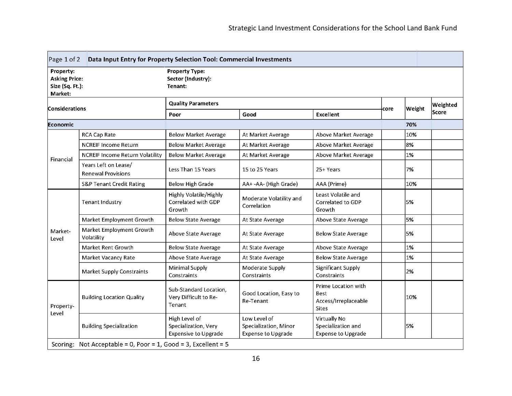| Data Input Entry for Property Selection Tool: Commercial Investments<br>Page $1$ of $2$ |                                                                |                                                                      |                                                                    |                                                                            |  |        |          |  |
|-----------------------------------------------------------------------------------------|----------------------------------------------------------------|----------------------------------------------------------------------|--------------------------------------------------------------------|----------------------------------------------------------------------------|--|--------|----------|--|
| Property:<br><b>Asking Price:</b><br>Size (Sq. Ft.):<br>Market:                         |                                                                | <b>Property Type:</b><br>Sector (Industry):<br>Tenant:               |                                                                    |                                                                            |  |        |          |  |
| <b>Considerations</b>                                                                   |                                                                | <b>Quality Parameters</b>                                            |                                                                    |                                                                            |  | Weight | Weighted |  |
|                                                                                         |                                                                | <b>Excellent</b><br>Good<br>Poor                                     |                                                                    | core                                                                       |  | Score  |          |  |
| Economic                                                                                |                                                                |                                                                      |                                                                    |                                                                            |  | 70%    |          |  |
|                                                                                         | <b>RCA Cap Rate</b>                                            | <b>Below Market Average</b>                                          | At Market Average                                                  | Above Market Average                                                       |  | 10%    |          |  |
|                                                                                         | <b>NCREIF Income Return</b>                                    | <b>Below Market Average</b>                                          | At Market Average                                                  | Above Market Average                                                       |  | 8%     |          |  |
| Financial                                                                               | <b>NCREIF Income Return Volatility</b>                         | <b>Below Market Average</b>                                          | At Market Average                                                  | Above Market Average                                                       |  | 1%     |          |  |
|                                                                                         | Years Left on Lease/<br><b>Renewal Provisions</b>              | Less Than 15 Years                                                   | 15 to 25 Years                                                     | 25+ Years                                                                  |  | 7%     |          |  |
|                                                                                         | <b>S&amp;P Tenant Credit Rating</b>                            | <b>Below High Grade</b>                                              | AA+ -AA- (High Grade)                                              | AAA (Prime)                                                                |  | 10%    |          |  |
| Market-<br>Level                                                                        | Tenant Industry                                                | Highly Volatile/Highly<br>Correlated with GDP<br>Growth              | Moderate Volatility and<br>Correlation                             | Least Volatile and<br>Correlated to GDP<br>Growth                          |  | 5%     |          |  |
|                                                                                         | Market Employment Growth                                       | <b>Below State Average</b>                                           | At State Average                                                   | Above State Average                                                        |  | 5%     |          |  |
|                                                                                         | Market Employment Growth<br>Volatility                         | Above State Average                                                  | At State Average                                                   | <b>Below State Average</b>                                                 |  | 5%     |          |  |
|                                                                                         | Market Rent Growth                                             | <b>Below State Average</b>                                           | At State Average                                                   | Above State Average                                                        |  | 1%     |          |  |
|                                                                                         | Market Vacancy Rate                                            | Above State Average                                                  | At State Average                                                   | <b>Below State Average</b>                                                 |  | 1%     |          |  |
|                                                                                         | <b>Market Supply Constraints</b>                               | Minimal Supply<br>Constraints                                        | Moderate Supply<br>Constraints                                     | <b>Significant Supply</b><br><b>Constraints</b>                            |  | 2%     |          |  |
| Property-<br>Level                                                                      | <b>Building Location Quality</b>                               | Sub-Standard Location,<br>Very Difficult to Re-<br>Tenant            | Good Location, Easy to<br>Re-Tenant                                | Prime Location with<br><b>Best</b><br>Access/Irreplaceable<br><b>Sites</b> |  | 10%    |          |  |
|                                                                                         | <b>Building Specialization</b>                                 | High Level of<br>Specialization, Very<br><b>Expensive to Upgrade</b> | Low Level of<br>Specialization, Minor<br><b>Expense to Upgrade</b> | <b>Virtually No</b><br>Specialization and<br><b>Expense to Upgrade</b>     |  | 5%     |          |  |
|                                                                                         | Scoring: Not Acceptable = 0, Poor = 1, Good = 3, Excellent = 5 |                                                                      |                                                                    |                                                                            |  |        |          |  |